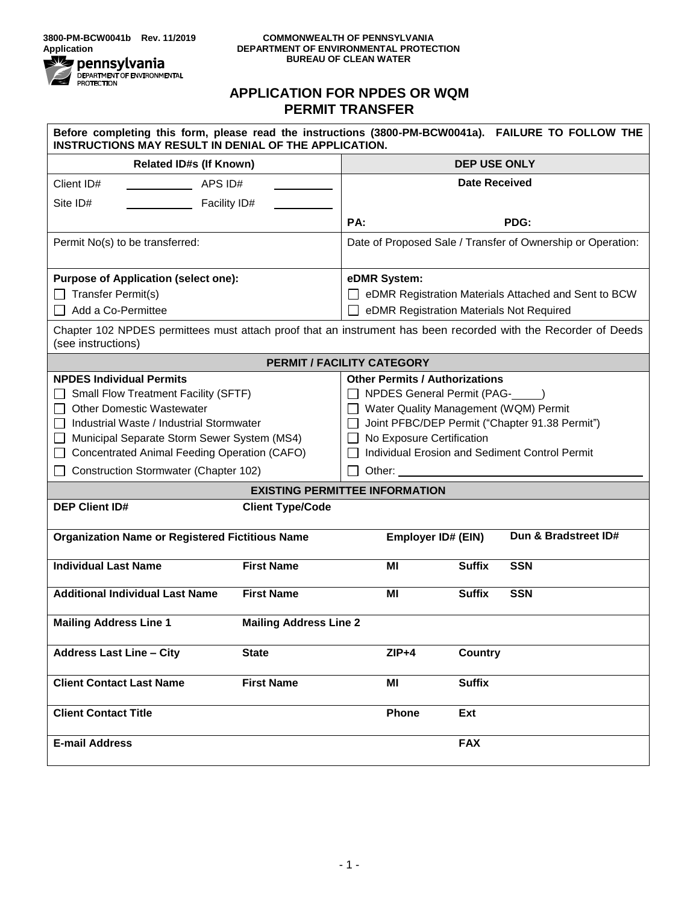

ŕ

#### **COMMONWEALTH OF PENNSYLVANIA DEPARTMENT OF ENVIRONMENTAL PROTECTION BUREAU OF CLEAN WATER**

# **APPLICATION FOR NPDES OR WQM PERMIT TRANSFER**

| Before completing this form, please read the instructions (3800-PM-BCW0041a). FAILURE TO FOLLOW THE<br>INSTRUCTIONS MAY RESULT IN DENIAL OF THE APPLICATION.                                                                                                                                    |                               |                                                                                                                                                                                                                                                                      |                      |                      |  |
|-------------------------------------------------------------------------------------------------------------------------------------------------------------------------------------------------------------------------------------------------------------------------------------------------|-------------------------------|----------------------------------------------------------------------------------------------------------------------------------------------------------------------------------------------------------------------------------------------------------------------|----------------------|----------------------|--|
| <b>Related ID#s (If Known)</b>                                                                                                                                                                                                                                                                  |                               | <b>DEP USE ONLY</b>                                                                                                                                                                                                                                                  |                      |                      |  |
| Client ID#<br>APS ID#                                                                                                                                                                                                                                                                           |                               |                                                                                                                                                                                                                                                                      | <b>Date Received</b> |                      |  |
| Site ID#<br>Facility ID#                                                                                                                                                                                                                                                                        |                               |                                                                                                                                                                                                                                                                      |                      |                      |  |
|                                                                                                                                                                                                                                                                                                 |                               | PA:                                                                                                                                                                                                                                                                  |                      | PDG:                 |  |
| Permit No(s) to be transferred:                                                                                                                                                                                                                                                                 |                               | Date of Proposed Sale / Transfer of Ownership or Operation:                                                                                                                                                                                                          |                      |                      |  |
| <b>Purpose of Application (select one):</b>                                                                                                                                                                                                                                                     |                               | eDMR System:                                                                                                                                                                                                                                                         |                      |                      |  |
| $\Box$ Transfer Permit(s)                                                                                                                                                                                                                                                                       |                               | eDMR Registration Materials Attached and Sent to BCW                                                                                                                                                                                                                 |                      |                      |  |
| Add a Co-Permittee                                                                                                                                                                                                                                                                              |                               | eDMR Registration Materials Not Required                                                                                                                                                                                                                             |                      |                      |  |
| Chapter 102 NPDES permittees must attach proof that an instrument has been recorded with the Recorder of Deeds<br>(see instructions)                                                                                                                                                            |                               |                                                                                                                                                                                                                                                                      |                      |                      |  |
| <b>PERMIT / FACILITY CATEGORY</b>                                                                                                                                                                                                                                                               |                               |                                                                                                                                                                                                                                                                      |                      |                      |  |
| <b>NPDES Individual Permits</b><br>Small Flow Treatment Facility (SFTF)<br><b>Other Domestic Wastewater</b><br>Industrial Waste / Industrial Stormwater<br>Municipal Separate Storm Sewer System (MS4)<br>Concentrated Animal Feeding Operation (CAFO)<br>Construction Stormwater (Chapter 102) |                               | <b>Other Permits / Authorizations</b><br>□ NPDES General Permit (PAG- )<br>□ Water Quality Management (WQM) Permit<br>Joint PFBC/DEP Permit ("Chapter 91.38 Permit")<br>No Exposure Certification<br>Individual Erosion and Sediment Control Permit<br>Other: $\_\_$ |                      |                      |  |
| <b>EXISTING PERMITTEE INFORMATION</b>                                                                                                                                                                                                                                                           |                               |                                                                                                                                                                                                                                                                      |                      |                      |  |
| <b>DEP Client ID#</b><br><b>Client Type/Code</b>                                                                                                                                                                                                                                                |                               |                                                                                                                                                                                                                                                                      |                      |                      |  |
| <b>Organization Name or Registered Fictitious Name</b>                                                                                                                                                                                                                                          |                               | <b>Employer ID# (EIN)</b>                                                                                                                                                                                                                                            |                      | Dun & Bradstreet ID# |  |
| <b>Individual Last Name</b>                                                                                                                                                                                                                                                                     | <b>First Name</b>             | ΜI                                                                                                                                                                                                                                                                   | <b>Suffix</b>        | <b>SSN</b>           |  |
| <b>Additional Individual Last Name</b>                                                                                                                                                                                                                                                          | <b>First Name</b>             | ΜI                                                                                                                                                                                                                                                                   | <b>Suffix</b>        | <b>SSN</b>           |  |
| <b>Mailing Address Line 1</b>                                                                                                                                                                                                                                                                   | <b>Mailing Address Line 2</b> |                                                                                                                                                                                                                                                                      |                      |                      |  |
| <b>Address Last Line - City</b>                                                                                                                                                                                                                                                                 | <b>State</b>                  | $ZIP+4$                                                                                                                                                                                                                                                              | <b>Country</b>       |                      |  |
| <b>Client Contact Last Name</b>                                                                                                                                                                                                                                                                 | <b>First Name</b>             | ΜI                                                                                                                                                                                                                                                                   | <b>Suffix</b>        |                      |  |
| <b>Client Contact Title</b>                                                                                                                                                                                                                                                                     |                               | <b>Phone</b>                                                                                                                                                                                                                                                         | Ext                  |                      |  |
| <b>E-mail Address</b>                                                                                                                                                                                                                                                                           |                               |                                                                                                                                                                                                                                                                      | <b>FAX</b>           |                      |  |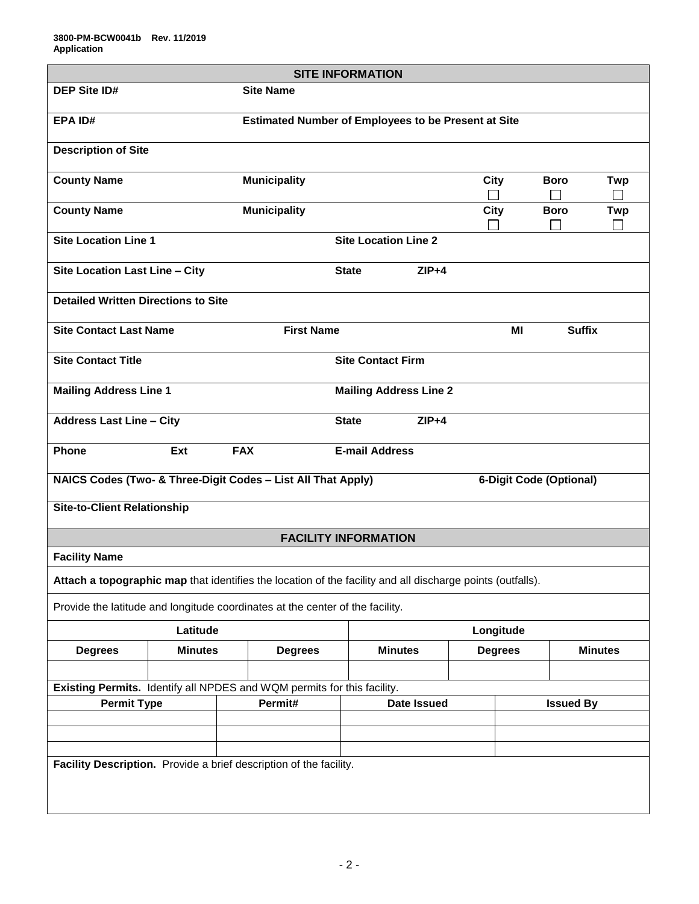| <b>SITE INFORMATION</b>                                                                                    |                                                                |                                          |                          |                    |                |                         |                |
|------------------------------------------------------------------------------------------------------------|----------------------------------------------------------------|------------------------------------------|--------------------------|--------------------|----------------|-------------------------|----------------|
| <b>DEP Site ID#</b>                                                                                        |                                                                | <b>Site Name</b>                         |                          |                    |                |                         |                |
| <b>Estimated Number of Employees to be Present at Site</b><br>EPA ID#                                      |                                                                |                                          |                          |                    |                |                         |                |
| <b>Description of Site</b>                                                                                 |                                                                |                                          |                          |                    |                |                         |                |
| <b>County Name</b>                                                                                         |                                                                | <b>Municipality</b>                      |                          |                    | <b>City</b>    | <b>Boro</b>             | <b>Twp</b>     |
| <b>County Name</b>                                                                                         |                                                                | <b>Municipality</b>                      |                          |                    | <b>City</b>    | <b>Boro</b>             | <b>Twp</b>     |
|                                                                                                            | <b>Site Location Line 1</b><br><b>Site Location Line 2</b>     |                                          |                          |                    |                |                         |                |
|                                                                                                            | Site Location Last Line - City<br>$ZIP+4$<br><b>State</b>      |                                          |                          |                    |                |                         |                |
| <b>Detailed Written Directions to Site</b>                                                                 |                                                                |                                          |                          |                    |                |                         |                |
| <b>Site Contact Last Name</b>                                                                              |                                                                | <b>First Name</b><br><b>Suffix</b><br>ΜI |                          |                    |                |                         |                |
| <b>Site Contact Title</b>                                                                                  |                                                                |                                          | <b>Site Contact Firm</b> |                    |                |                         |                |
|                                                                                                            | <b>Mailing Address Line 1</b><br><b>Mailing Address Line 2</b> |                                          |                          |                    |                |                         |                |
| <b>Address Last Line - City</b>                                                                            |                                                                |                                          | <b>State</b>             | $ZIP+4$            |                |                         |                |
| <b>Phone</b>                                                                                               | Ext                                                            | <b>FAX</b>                               | <b>E-mail Address</b>    |                    |                |                         |                |
| NAICS Codes (Two- & Three-Digit Codes - List All That Apply)                                               |                                                                |                                          |                          |                    |                | 6-Digit Code (Optional) |                |
| <b>Site-to-Client Relationship</b>                                                                         |                                                                |                                          |                          |                    |                |                         |                |
| <b>FACILITY INFORMATION</b>                                                                                |                                                                |                                          |                          |                    |                |                         |                |
| <b>Facility Name</b>                                                                                       |                                                                |                                          |                          |                    |                |                         |                |
| Attach a topographic map that identifies the location of the facility and all discharge points (outfalls). |                                                                |                                          |                          |                    |                |                         |                |
| Provide the latitude and longitude coordinates at the center of the facility.                              |                                                                |                                          |                          |                    |                |                         |                |
| Latitude                                                                                                   |                                                                |                                          |                          | Longitude          |                |                         |                |
| <b>Degrees</b>                                                                                             | <b>Minutes</b>                                                 | <b>Degrees</b>                           | <b>Minutes</b>           |                    | <b>Degrees</b> |                         | <b>Minutes</b> |
|                                                                                                            |                                                                |                                          |                          |                    |                |                         |                |
| Existing Permits. Identify all NPDES and WQM permits for this facility.                                    |                                                                |                                          |                          |                    |                |                         |                |
|                                                                                                            | Permit#<br><b>Permit Type</b>                                  |                                          |                          | <b>Date Issued</b> |                | <b>Issued By</b>        |                |
|                                                                                                            |                                                                |                                          |                          |                    |                |                         |                |
|                                                                                                            |                                                                |                                          |                          |                    |                |                         |                |
| Facility Description. Provide a brief description of the facility.                                         |                                                                |                                          |                          |                    |                |                         |                |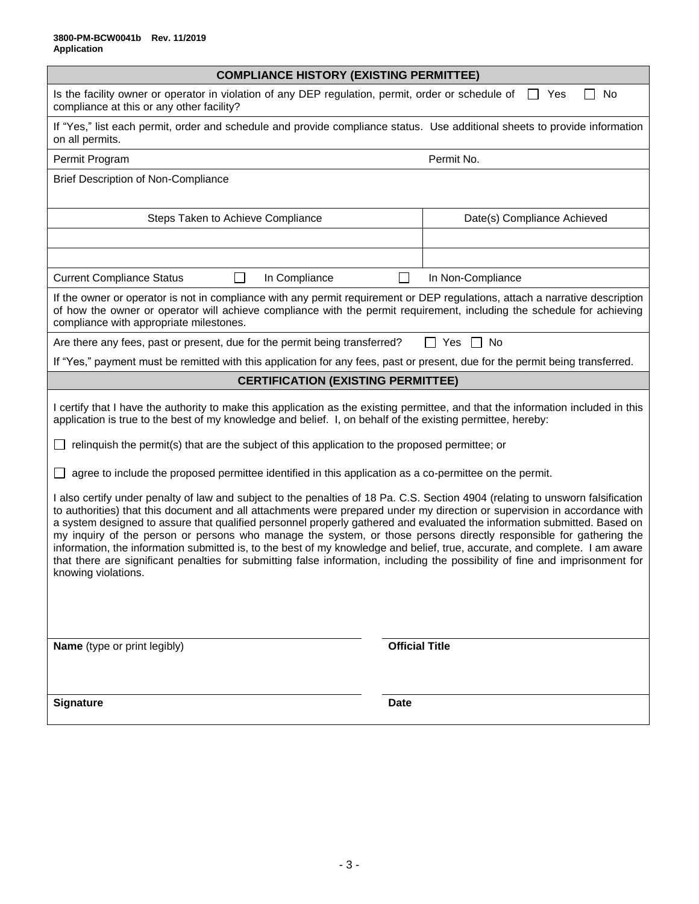| <b>COMPLIANCE HISTORY (EXISTING PERMITTEE)</b>                                                                                                                                                                                                                                                                                                                                                                                                                                                                                                                                                                                                                                                                                                                                                        |                             |  |  |  |
|-------------------------------------------------------------------------------------------------------------------------------------------------------------------------------------------------------------------------------------------------------------------------------------------------------------------------------------------------------------------------------------------------------------------------------------------------------------------------------------------------------------------------------------------------------------------------------------------------------------------------------------------------------------------------------------------------------------------------------------------------------------------------------------------------------|-----------------------------|--|--|--|
| No<br>Is the facility owner or operator in violation of any DEP regulation, permit, order or schedule of<br>Yes<br>compliance at this or any other facility?                                                                                                                                                                                                                                                                                                                                                                                                                                                                                                                                                                                                                                          |                             |  |  |  |
| If "Yes," list each permit, order and schedule and provide compliance status. Use additional sheets to provide information<br>on all permits.                                                                                                                                                                                                                                                                                                                                                                                                                                                                                                                                                                                                                                                         |                             |  |  |  |
| Permit Program                                                                                                                                                                                                                                                                                                                                                                                                                                                                                                                                                                                                                                                                                                                                                                                        | Permit No.                  |  |  |  |
| <b>Brief Description of Non-Compliance</b>                                                                                                                                                                                                                                                                                                                                                                                                                                                                                                                                                                                                                                                                                                                                                            |                             |  |  |  |
| Steps Taken to Achieve Compliance                                                                                                                                                                                                                                                                                                                                                                                                                                                                                                                                                                                                                                                                                                                                                                     | Date(s) Compliance Achieved |  |  |  |
|                                                                                                                                                                                                                                                                                                                                                                                                                                                                                                                                                                                                                                                                                                                                                                                                       |                             |  |  |  |
|                                                                                                                                                                                                                                                                                                                                                                                                                                                                                                                                                                                                                                                                                                                                                                                                       |                             |  |  |  |
| <b>Current Compliance Status</b><br>In Compliance                                                                                                                                                                                                                                                                                                                                                                                                                                                                                                                                                                                                                                                                                                                                                     | П<br>In Non-Compliance      |  |  |  |
| If the owner or operator is not in compliance with any permit requirement or DEP regulations, attach a narrative description<br>of how the owner or operator will achieve compliance with the permit requirement, including the schedule for achieving<br>compliance with appropriate milestones.                                                                                                                                                                                                                                                                                                                                                                                                                                                                                                     |                             |  |  |  |
| Are there any fees, past or present, due for the permit being transferred?                                                                                                                                                                                                                                                                                                                                                                                                                                                                                                                                                                                                                                                                                                                            | $\mathsf{L}$<br>Yes<br>No   |  |  |  |
| If "Yes," payment must be remitted with this application for any fees, past or present, due for the permit being transferred.                                                                                                                                                                                                                                                                                                                                                                                                                                                                                                                                                                                                                                                                         |                             |  |  |  |
| <b>CERTIFICATION (EXISTING PERMITTEE)</b>                                                                                                                                                                                                                                                                                                                                                                                                                                                                                                                                                                                                                                                                                                                                                             |                             |  |  |  |
| I certify that I have the authority to make this application as the existing permittee, and that the information included in this<br>application is true to the best of my knowledge and belief. I, on behalf of the existing permittee, hereby:                                                                                                                                                                                                                                                                                                                                                                                                                                                                                                                                                      |                             |  |  |  |
| relinquish the permit(s) that are the subject of this application to the proposed permittee; or                                                                                                                                                                                                                                                                                                                                                                                                                                                                                                                                                                                                                                                                                                       |                             |  |  |  |
| agree to include the proposed permittee identified in this application as a co-permittee on the permit.                                                                                                                                                                                                                                                                                                                                                                                                                                                                                                                                                                                                                                                                                               |                             |  |  |  |
| I also certify under penalty of law and subject to the penalties of 18 Pa. C.S. Section 4904 (relating to unsworn falsification<br>to authorities) that this document and all attachments were prepared under my direction or supervision in accordance with<br>a system designed to assure that qualified personnel properly gathered and evaluated the information submitted. Based on<br>my inquiry of the person or persons who manage the system, or those persons directly responsible for gathering the<br>information, the information submitted is, to the best of my knowledge and belief, true, accurate, and complete. I am aware<br>that there are significant penalties for submitting false information, including the possibility of fine and imprisonment for<br>knowing violations. |                             |  |  |  |
|                                                                                                                                                                                                                                                                                                                                                                                                                                                                                                                                                                                                                                                                                                                                                                                                       |                             |  |  |  |
| Name (type or print legibly)                                                                                                                                                                                                                                                                                                                                                                                                                                                                                                                                                                                                                                                                                                                                                                          | <b>Official Title</b>       |  |  |  |
|                                                                                                                                                                                                                                                                                                                                                                                                                                                                                                                                                                                                                                                                                                                                                                                                       |                             |  |  |  |
| <b>Signature</b>                                                                                                                                                                                                                                                                                                                                                                                                                                                                                                                                                                                                                                                                                                                                                                                      | <b>Date</b>                 |  |  |  |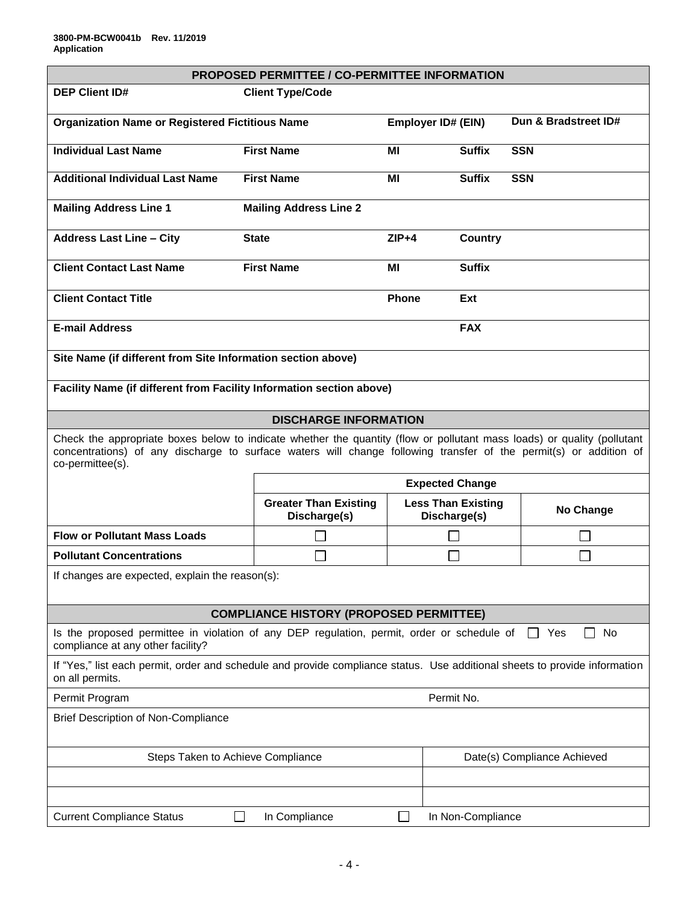|                                                                                                                                                                                                                                                                  | <b>PROPOSED PERMITTEE / CO-PERMITTEE INFORMATION</b> |                |                                           |                      |  |
|------------------------------------------------------------------------------------------------------------------------------------------------------------------------------------------------------------------------------------------------------------------|------------------------------------------------------|----------------|-------------------------------------------|----------------------|--|
| <b>DEP Client ID#</b>                                                                                                                                                                                                                                            | <b>Client Type/Code</b>                              |                |                                           |                      |  |
| <b>Organization Name or Registered Fictitious Name</b>                                                                                                                                                                                                           |                                                      |                | <b>Employer ID# (EIN)</b>                 | Dun & Bradstreet ID# |  |
| <b>Individual Last Name</b>                                                                                                                                                                                                                                      | <b>First Name</b>                                    | MI             | <b>Suffix</b>                             | <b>SSN</b>           |  |
| <b>Additional Individual Last Name</b>                                                                                                                                                                                                                           | <b>First Name</b>                                    | MI             | <b>Suffix</b>                             | <b>SSN</b>           |  |
| <b>Mailing Address Line 1</b>                                                                                                                                                                                                                                    | <b>Mailing Address Line 2</b>                        |                |                                           |                      |  |
| <b>Address Last Line - City</b>                                                                                                                                                                                                                                  | <b>State</b>                                         | $ZIP+4$        | Country                                   |                      |  |
| <b>Client Contact Last Name</b>                                                                                                                                                                                                                                  | <b>First Name</b>                                    | МI             | <b>Suffix</b>                             |                      |  |
| <b>Client Contact Title</b>                                                                                                                                                                                                                                      |                                                      | Phone          | Ext                                       |                      |  |
| <b>E-mail Address</b>                                                                                                                                                                                                                                            |                                                      |                | <b>FAX</b>                                |                      |  |
| Site Name (if different from Site Information section above)                                                                                                                                                                                                     |                                                      |                |                                           |                      |  |
| Facility Name (if different from Facility Information section above)                                                                                                                                                                                             |                                                      |                |                                           |                      |  |
| <b>DISCHARGE INFORMATION</b>                                                                                                                                                                                                                                     |                                                      |                |                                           |                      |  |
| Check the appropriate boxes below to indicate whether the quantity (flow or pollutant mass loads) or quality (pollutant<br>concentrations) of any discharge to surface waters will change following transfer of the permit(s) or addition of<br>co-permittee(s). |                                                      |                |                                           |                      |  |
|                                                                                                                                                                                                                                                                  | <b>Expected Change</b>                               |                |                                           |                      |  |
|                                                                                                                                                                                                                                                                  | <b>Greater Than Existing</b><br>Discharge(s)         |                | <b>Less Than Existing</b><br>Discharge(s) | No Change            |  |
| <b>Flow or Pollutant Mass Loads</b>                                                                                                                                                                                                                              |                                                      |                |                                           |                      |  |
| <b>Pollutant Concentrations</b>                                                                                                                                                                                                                                  |                                                      |                |                                           |                      |  |
| If changes are expected, explain the reason(s):                                                                                                                                                                                                                  |                                                      |                |                                           |                      |  |
|                                                                                                                                                                                                                                                                  | <b>COMPLIANCE HISTORY (PROPOSED PERMITTEE)</b>       |                |                                           |                      |  |
| Is the proposed permittee in violation of any DEP regulation, permit, order or schedule of<br>No<br>Yes<br>compliance at any other facility?                                                                                                                     |                                                      |                |                                           |                      |  |
| If "Yes," list each permit, order and schedule and provide compliance status. Use additional sheets to provide information<br>on all permits.                                                                                                                    |                                                      |                |                                           |                      |  |
| Permit No.<br>Permit Program                                                                                                                                                                                                                                     |                                                      |                |                                           |                      |  |
| <b>Brief Description of Non-Compliance</b>                                                                                                                                                                                                                       |                                                      |                |                                           |                      |  |
| Steps Taken to Achieve Compliance                                                                                                                                                                                                                                |                                                      |                | Date(s) Compliance Achieved               |                      |  |
|                                                                                                                                                                                                                                                                  |                                                      |                |                                           |                      |  |
|                                                                                                                                                                                                                                                                  |                                                      |                |                                           |                      |  |
| <b>Current Compliance Status</b>                                                                                                                                                                                                                                 | In Compliance                                        | $\blacksquare$ | In Non-Compliance                         |                      |  |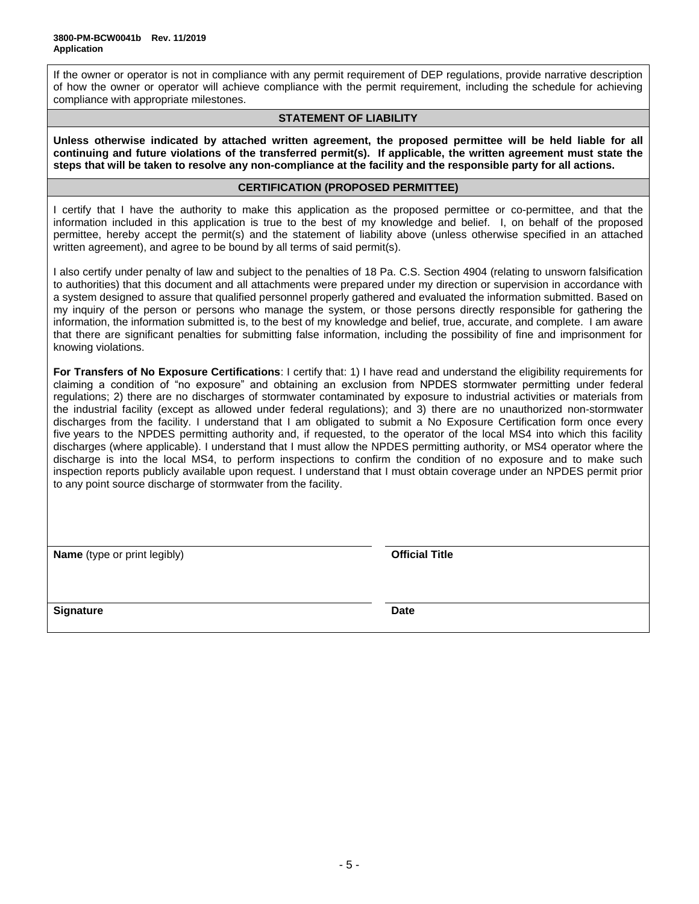If the owner or operator is not in compliance with any permit requirement of DEP regulations, provide narrative description of how the owner or operator will achieve compliance with the permit requirement, including the schedule for achieving compliance with appropriate milestones.

### **STATEMENT OF LIABILITY**

**Unless otherwise indicated by attached written agreement, the proposed permittee will be held liable for all continuing and future violations of the transferred permit(s). If applicable, the written agreement must state the steps that will be taken to resolve any non-compliance at the facility and the responsible party for all actions.**

### **CERTIFICATION (PROPOSED PERMITTEE)**

I certify that I have the authority to make this application as the proposed permittee or co-permittee, and that the information included in this application is true to the best of my knowledge and belief. I, on behalf of the proposed permittee, hereby accept the permit(s) and the statement of liability above (unless otherwise specified in an attached written agreement), and agree to be bound by all terms of said permit(s).

I also certify under penalty of law and subject to the penalties of 18 Pa. C.S. Section 4904 (relating to unsworn falsification to authorities) that this document and all attachments were prepared under my direction or supervision in accordance with a system designed to assure that qualified personnel properly gathered and evaluated the information submitted. Based on my inquiry of the person or persons who manage the system, or those persons directly responsible for gathering the information, the information submitted is, to the best of my knowledge and belief, true, accurate, and complete. I am aware that there are significant penalties for submitting false information, including the possibility of fine and imprisonment for knowing violations.

**For Transfers of No Exposure Certifications**: I certify that: 1) I have read and understand the eligibility requirements for claiming a condition of "no exposure" and obtaining an exclusion from NPDES stormwater permitting under federal regulations; 2) there are no discharges of stormwater contaminated by exposure to industrial activities or materials from the industrial facility (except as allowed under federal regulations); and 3) there are no unauthorized non-stormwater discharges from the facility. I understand that I am obligated to submit a No Exposure Certification form once every five years to the NPDES permitting authority and, if requested, to the operator of the local MS4 into which this facility discharges (where applicable). I understand that I must allow the NPDES permitting authority, or MS4 operator where the discharge is into the local MS4, to perform inspections to confirm the condition of no exposure and to make such inspection reports publicly available upon request. I understand that I must obtain coverage under an NPDES permit prior to any point source discharge of stormwater from the facility.

**Name** (type or print legibly) **Company Official Title** 

**Signature Date**